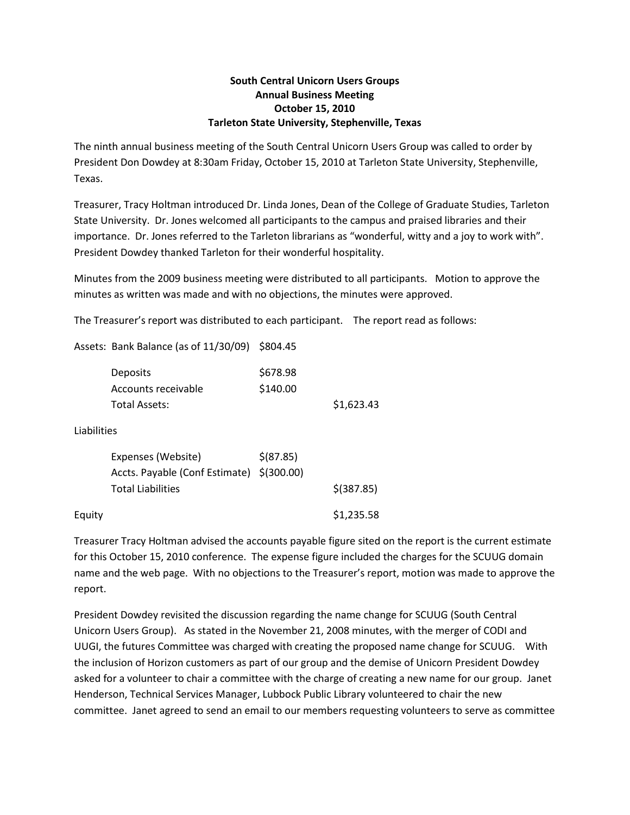## **South Central Unicorn Users Groups Annual Business Meeting October 15, 2010 Tarleton State University, Stephenville, Texas**

The ninth annual business meeting of the South Central Unicorn Users Group was called to order by President Don Dowdey at 8:30am Friday, October 15, 2010 at Tarleton State University, Stephenville, Texas.

Treasurer, Tracy Holtman introduced Dr. Linda Jones, Dean of the College of Graduate Studies, Tarleton State University. Dr. Jones welcomed all participants to the campus and praised libraries and their importance. Dr. Jones referred to the Tarleton librarians as "wonderful, witty and a joy to work with". President Dowdey thanked Tarleton for their wonderful hospitality.

Minutes from the 2009 business meeting were distributed to all participants. Motion to approve the minutes as written was made and with no objections, the minutes were approved.

The Treasurer's report was distributed to each participant. The report read as follows:

Assets: Bank Balance (as of 11/30/09) \$804.45

|             | <b>Deposits</b><br>Accounts receivable<br>Total Assets:                                     | \$678.98<br>\$140.00 | \$1,623.43   |
|-------------|---------------------------------------------------------------------------------------------|----------------------|--------------|
| Liabilities |                                                                                             |                      |              |
|             | Expenses (Website)<br>Accts. Payable (Conf Estimate) \$(300.00)<br><b>Total Liabilities</b> | \$ (87.85)           | $$$ (387.85) |
| Equity      |                                                                                             |                      | \$1,235.58   |

Treasurer Tracy Holtman advised the accounts payable figure sited on the report is the current estimate for this October 15, 2010 conference. The expense figure included the charges for the SCUUG domain name and the web page. With no objections to the Treasurer's report, motion was made to approve the report.

President Dowdey revisited the discussion regarding the name change for SCUUG (South Central Unicorn Users Group). As stated in the November 21, 2008 minutes, with the merger of CODI and UUGI, the futures Committee was charged with creating the proposed name change for SCUUG. With the inclusion of Horizon customers as part of our group and the demise of Unicorn President Dowdey asked for a volunteer to chair a committee with the charge of creating a new name for our group. Janet Henderson, Technical Services Manager, Lubbock Public Library volunteered to chair the new committee. Janet agreed to send an email to our members requesting volunteers to serve as committee